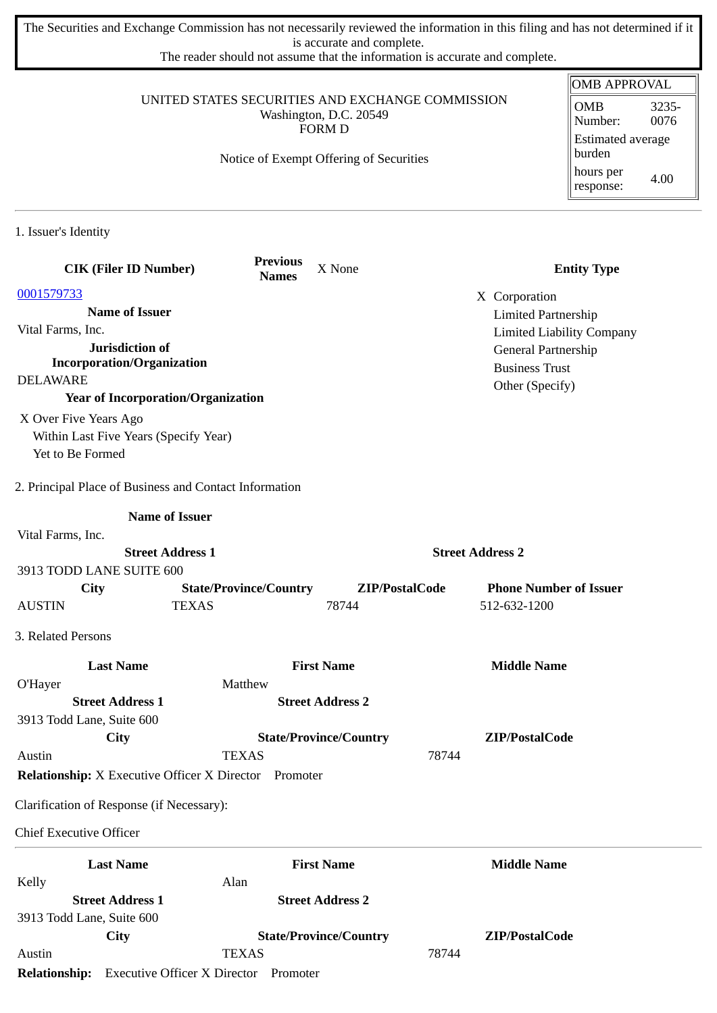The Securities and Exchange Commission has not necessarily reviewed the information in this filing and has not determined if it is accurate and complete.

The reader should not assume that the information is accurate and complete.

|                                                              | UNITED STATES SECURITIES AND EXCHANGE COMMISSION |                                         |                                              | <b>OMB APPROVAL</b>              |
|--------------------------------------------------------------|--------------------------------------------------|-----------------------------------------|----------------------------------------------|----------------------------------|
|                                                              | <b>OMB</b><br>3235-<br>0076<br>Number:           |                                         |                                              |                                  |
|                                                              |                                                  | <b>FORM D</b>                           |                                              | Estimated average<br>burden      |
|                                                              |                                                  | Notice of Exempt Offering of Securities |                                              | hours per<br>4.00<br>response:   |
| 1. Issuer's Identity                                         |                                                  |                                         |                                              |                                  |
|                                                              | <b>Previous</b>                                  |                                         |                                              |                                  |
| <b>CIK (Filer ID Number)</b>                                 | <b>Names</b>                                     | X None                                  |                                              | <b>Entity Type</b>               |
| 0001579733                                                   |                                                  |                                         | X Corporation                                |                                  |
| <b>Name of Issuer</b>                                        |                                                  |                                         | <b>Limited Partnership</b>                   |                                  |
| Vital Farms, Inc.<br>Jurisdiction of                         |                                                  |                                         |                                              | <b>Limited Liability Company</b> |
| <b>Incorporation/Organization</b>                            |                                                  |                                         | General Partnership<br><b>Business Trust</b> |                                  |
| <b>DELAWARE</b>                                              |                                                  |                                         | Other (Specify)                              |                                  |
|                                                              | <b>Year of Incorporation/Organization</b>        |                                         |                                              |                                  |
| X Over Five Years Ago                                        |                                                  |                                         |                                              |                                  |
| Within Last Five Years (Specify Year)<br>Yet to Be Formed    |                                                  |                                         |                                              |                                  |
| 2. Principal Place of Business and Contact Information       |                                                  |                                         |                                              |                                  |
|                                                              | <b>Name of Issuer</b>                            |                                         |                                              |                                  |
| Vital Farms, Inc.                                            |                                                  |                                         |                                              |                                  |
|                                                              | <b>Street Address 1</b>                          |                                         | <b>Street Address 2</b>                      |                                  |
| 3913 TODD LANE SUITE 600                                     |                                                  |                                         |                                              |                                  |
| City<br><b>AUSTIN</b>                                        | <b>State/Province/Country</b><br><b>TEXAS</b>    | ZIP/PostalCode<br>78744                 | 512-632-1200                                 | <b>Phone Number of Issuer</b>    |
| 3. Related Persons                                           |                                                  |                                         |                                              |                                  |
| <b>Last Name</b>                                             |                                                  | <b>First Name</b>                       | <b>Middle Name</b>                           |                                  |
| O'Hayer                                                      | Matthew                                          |                                         |                                              |                                  |
| <b>Street Address 1</b>                                      |                                                  | <b>Street Address 2</b>                 |                                              |                                  |
| 3913 Todd Lane, Suite 600                                    |                                                  |                                         |                                              |                                  |
| City                                                         |                                                  | <b>State/Province/Country</b>           | ZIP/PostalCode                               |                                  |
| Austin                                                       | <b>TEXAS</b>                                     |                                         | 78744                                        |                                  |
| <b>Relationship:</b> X Executive Officer X Director Promoter |                                                  |                                         |                                              |                                  |
| Clarification of Response (if Necessary):                    |                                                  |                                         |                                              |                                  |
| <b>Chief Executive Officer</b>                               |                                                  |                                         |                                              |                                  |
| <b>Last Name</b>                                             |                                                  | <b>First Name</b>                       | <b>Middle Name</b>                           |                                  |
| Kelly                                                        | Alan                                             |                                         |                                              |                                  |
| <b>Street Address 1</b>                                      |                                                  | <b>Street Address 2</b>                 |                                              |                                  |
| 3913 Todd Lane, Suite 600                                    |                                                  |                                         |                                              |                                  |
| City                                                         |                                                  | <b>State/Province/Country</b>           | ZIP/PostalCode                               |                                  |
| Austin                                                       | <b>TEXAS</b>                                     |                                         | 78744                                        |                                  |

**Relationship:** Executive Officer X Director Promoter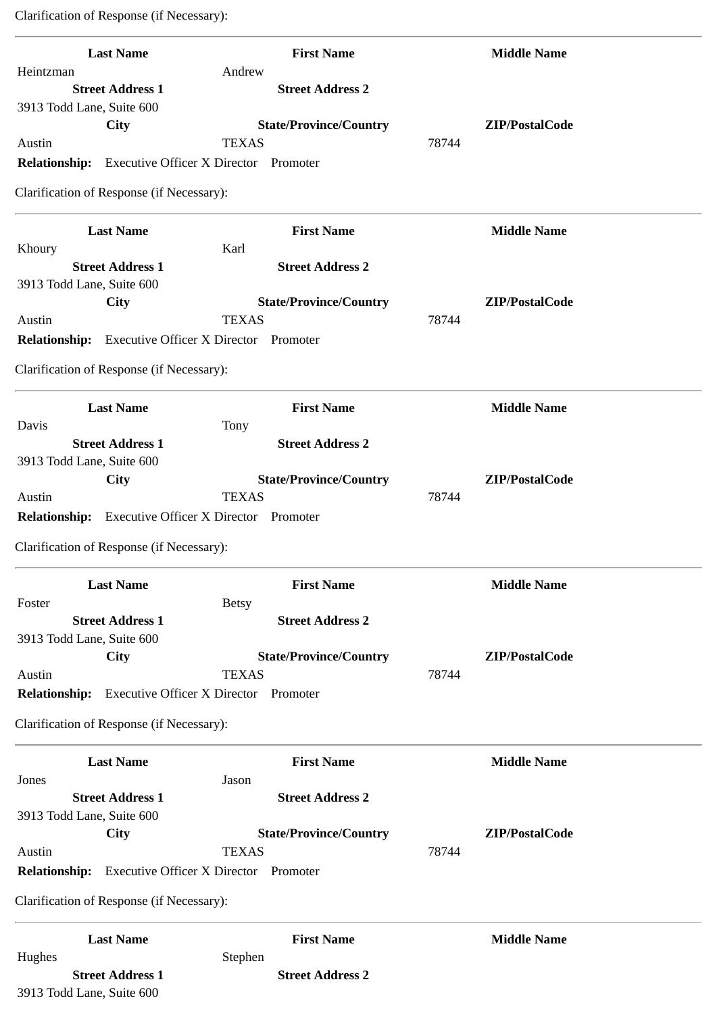Clarification of Response (if Necessary):

| <b>Last Name</b><br>Heintzman                               | <b>First Name</b><br>Andrew                  | <b>Middle Name</b> |
|-------------------------------------------------------------|----------------------------------------------|--------------------|
| <b>Street Address 1</b>                                     | <b>Street Address 2</b>                      |                    |
| 3913 Todd Lane, Suite 600                                   |                                              |                    |
| <b>City</b>                                                 | <b>State/Province/Country</b>                | ZIP/PostalCode     |
| Austin                                                      | <b>TEXAS</b>                                 | 78744              |
| <b>Relationship:</b> Executive Officer X Director           | Promoter                                     |                    |
| Clarification of Response (if Necessary):                   |                                              |                    |
| <b>Last Name</b>                                            | <b>First Name</b>                            | <b>Middle Name</b> |
| Khoury                                                      | Karl                                         |                    |
| <b>Street Address 1</b>                                     | <b>Street Address 2</b>                      |                    |
| 3913 Todd Lane, Suite 600                                   |                                              |                    |
| <b>City</b>                                                 | <b>State/Province/Country</b>                | ZIP/PostalCode     |
| Austin                                                      | <b>TEXAS</b>                                 | 78744              |
| <b>Relationship:</b> Executive Officer X Director           | Promoter                                     |                    |
| Clarification of Response (if Necessary):                   |                                              |                    |
| <b>Last Name</b>                                            | <b>First Name</b>                            | <b>Middle Name</b> |
| Davis                                                       | Tony                                         |                    |
| <b>Street Address 1</b>                                     | <b>Street Address 2</b>                      |                    |
| 3913 Todd Lane, Suite 600                                   |                                              |                    |
| City                                                        | <b>State/Province/Country</b>                | ZIP/PostalCode     |
| Austin                                                      | <b>TEXAS</b>                                 | 78744              |
| <b>Relationship:</b><br><b>Executive Officer X Director</b> | Promoter                                     |                    |
| Clarification of Response (if Necessary):                   |                                              |                    |
| <b>Last Name</b>                                            | <b>First Name</b>                            | <b>Middle Name</b> |
| Foster                                                      | <b>Betsy</b>                                 |                    |
| <b>Street Address 1</b>                                     | <b>Street Address 2</b>                      |                    |
| 3913 Todd Lane, Suite 600                                   |                                              |                    |
| <b>City</b>                                                 | <b>State/Province/Country</b>                | ZIP/PostalCode     |
| Austin                                                      | <b>TEXAS</b>                                 | 78744              |
| <b>Relationship:</b>                                        | <b>Executive Officer X Director Promoter</b> |                    |
| Clarification of Response (if Necessary):                   |                                              |                    |
| <b>Last Name</b>                                            | <b>First Name</b>                            | <b>Middle Name</b> |
| Jones                                                       | Jason                                        |                    |
| <b>Street Address 1</b>                                     | <b>Street Address 2</b>                      |                    |
| 3913 Todd Lane, Suite 600                                   |                                              |                    |
| <b>City</b>                                                 | <b>State/Province/Country</b>                | ZIP/PostalCode     |
| Austin                                                      | <b>TEXAS</b>                                 | 78744              |
| <b>Relationship:</b><br><b>Executive Officer X Director</b> | Promoter                                     |                    |
| Clarification of Response (if Necessary):                   |                                              |                    |
| <b>Last Name</b>                                            | <b>First Name</b>                            | <b>Middle Name</b> |
| Hughes                                                      | Stephen<br><b>Street Address 2</b>           |                    |
| <b>Street Address 1</b><br>3913 Todd Lane, Suite 600        |                                              |                    |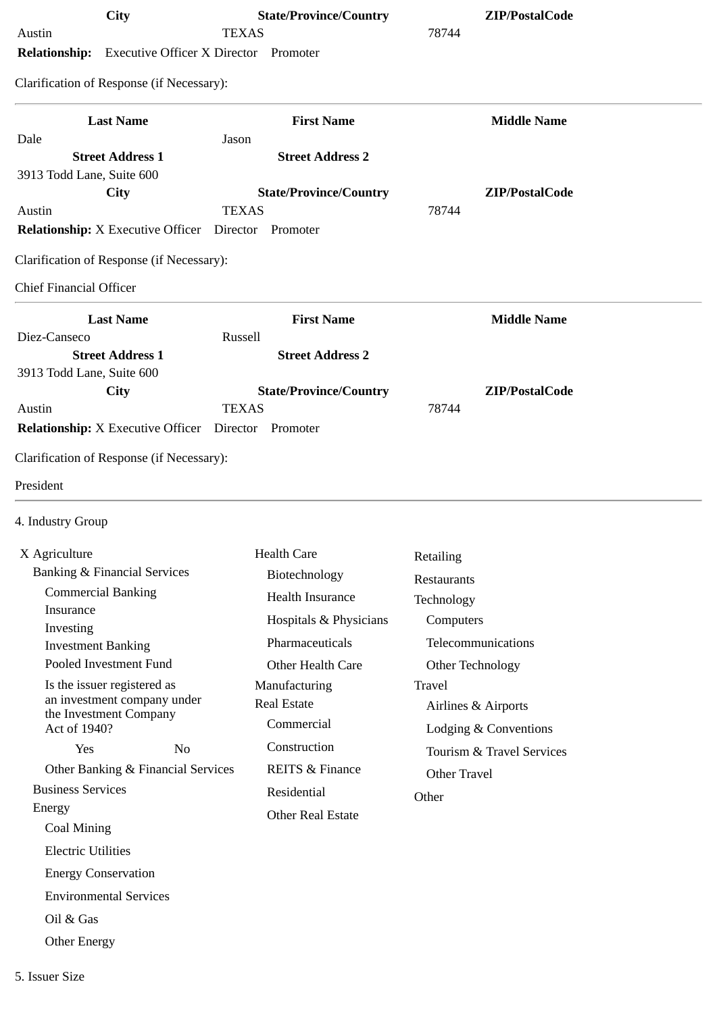| City                                                                 | <b>State/Province/Country</b>                 | ZIP/PostalCode            |
|----------------------------------------------------------------------|-----------------------------------------------|---------------------------|
| Austin<br><b>Relationship:</b> Executive Officer X Director Promoter | <b>TEXAS</b>                                  | 78744                     |
|                                                                      |                                               |                           |
| Clarification of Response (if Necessary):                            |                                               |                           |
| <b>Last Name</b>                                                     | <b>First Name</b>                             | <b>Middle Name</b>        |
| Dale                                                                 | Jason                                         |                           |
| <b>Street Address 1</b>                                              | <b>Street Address 2</b>                       |                           |
| 3913 Todd Lane, Suite 600                                            |                                               |                           |
| <b>City</b><br>Austin                                                | <b>State/Province/Country</b><br><b>TEXAS</b> | ZIP/PostalCode<br>78744   |
| <b>Relationship:</b> X Executive Officer                             | Director<br>Promoter                          |                           |
| Clarification of Response (if Necessary):                            |                                               |                           |
|                                                                      |                                               |                           |
| <b>Chief Financial Officer</b>                                       |                                               |                           |
| <b>Last Name</b>                                                     | <b>First Name</b>                             | <b>Middle Name</b>        |
| Diez-Canseco<br><b>Street Address 1</b>                              | Russell<br><b>Street Address 2</b>            |                           |
| 3913 Todd Lane, Suite 600                                            |                                               |                           |
| City                                                                 | <b>State/Province/Country</b>                 | ZIP/PostalCode            |
| Austin                                                               | <b>TEXAS</b>                                  | 78744                     |
| <b>Relationship:</b> X Executive Officer Director Promoter           |                                               |                           |
| 4. Industry Group                                                    |                                               |                           |
| X Agriculture                                                        | <b>Health Care</b>                            | Retailing                 |
| <b>Banking &amp; Financial Services</b>                              | Biotechnology                                 | Restaurants               |
| <b>Commercial Banking</b>                                            | Health Insurance                              | Technology                |
| Insurance<br>Investing                                               | Hospitals & Physicians                        | Computers                 |
| <b>Investment Banking</b>                                            | Pharmaceuticals                               | Telecommunications        |
| Pooled Investment Fund                                               | Other Health Care                             | Other Technology          |
| Is the issuer registered as<br>an investment company under           | Manufacturing                                 | <b>Travel</b>             |
| the Investment Company                                               | <b>Real Estate</b>                            | Airlines & Airports       |
| Act of 1940?                                                         | Commercial                                    | Lodging & Conventions     |
| Yes<br>N <sub>0</sub>                                                | Construction                                  | Tourism & Travel Services |
| Other Banking & Financial Services                                   | <b>REITS &amp; Finance</b>                    | <b>Other Travel</b>       |
| <b>Business Services</b><br>Energy                                   | Residential                                   | Other                     |
| Coal Mining                                                          | <b>Other Real Estate</b>                      |                           |
| <b>Electric Utilities</b>                                            |                                               |                           |
| <b>Energy Conservation</b>                                           |                                               |                           |
| <b>Environmental Services</b>                                        |                                               |                           |
| Oil & Gas                                                            |                                               |                           |
|                                                                      |                                               |                           |
| <b>Other Energy</b>                                                  |                                               |                           |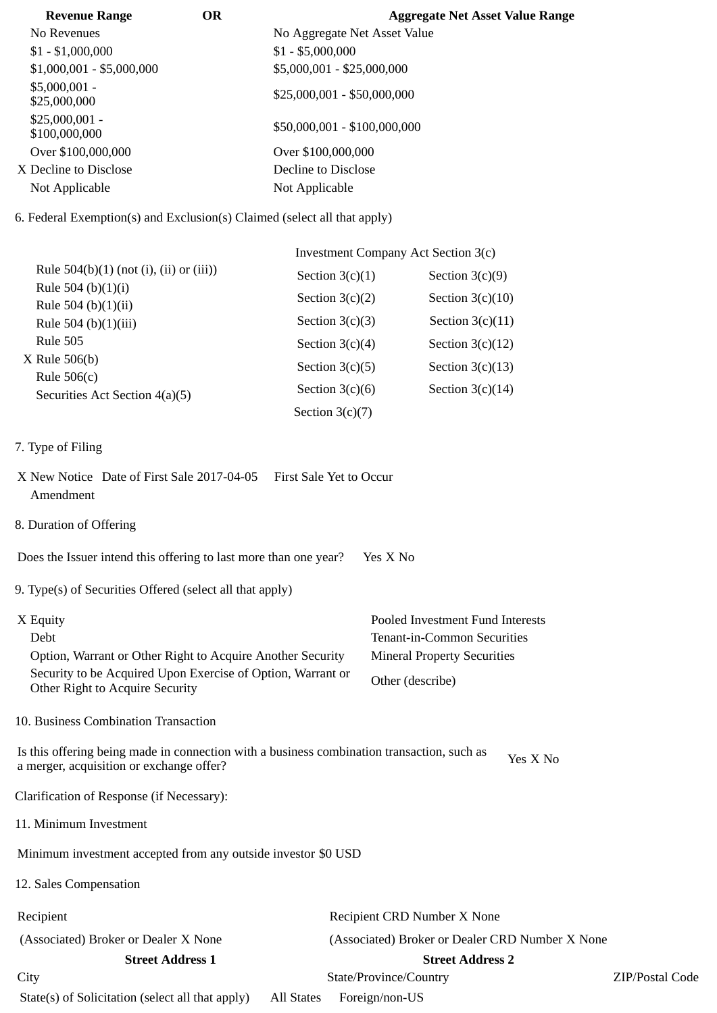| <b>Revenue Range</b>             | <b>OR</b> | <b>Aggregate Net Asset Value Range</b> |
|----------------------------------|-----------|----------------------------------------|
| No Revenues                      |           | No Aggregate Net Asset Value           |
| $$1 - $1,000,000$                |           | $$1 - $5,000,000$                      |
| $$1,000,001 - $5,000,000$        |           | \$5,000,001 - \$25,000,000             |
| $$5,000,001 -$<br>\$25,000,000   |           | $$25,000,001 - $50,000,000$            |
| $$25,000,001 -$<br>\$100,000,000 |           | \$50,000,001 - \$100,000,000           |
| Over \$100,000,000               |           | Over \$100,000,000                     |
| X Decline to Disclose            |           | Decline to Disclose                    |
| Not Applicable                   |           | Not Applicable                         |

6. Federal Exemption(s) and Exclusion(s) Claimed (select all that apply)

|                                                   | Investment Company Act Section 3(c) |                    |  |
|---------------------------------------------------|-------------------------------------|--------------------|--|
| Rule $504(b)(1)$ (not (i), (ii) or (iii))         | Section $3(c)(1)$                   | Section $3(c)(9)$  |  |
| Rule 504 (b) $(1)(i)$                             | Section $3(c)(2)$                   | Section $3(c)(10)$ |  |
| Rule 504 (b) $(1)(ii)$<br>Rule 504 (b) $(1)(iii)$ | Section $3(c)(3)$                   | Section $3(c)(11)$ |  |
| Rule 505                                          | Section $3(c)(4)$                   | Section $3(c)(12)$ |  |
| $X$ Rule 506(b)                                   | Section $3(c)(5)$                   | Section $3(c)(13)$ |  |
| Rule $506(c)$                                     | Section $3(c)(6)$                   | Section $3(c)(14)$ |  |
| Securities Act Section 4(a)(5)                    | Section $3(c)(7)$                   |                    |  |

- 7. Type of Filing
- X New Notice Date of First Sale 2017-04-05 First Sale Yet to Occur Amendment
- 8. Duration of Offering

Does the Issuer intend this offering to last more than one year? Yes X No

9. Type(s) of Securities Offered (select all that apply)

| X Equity                                                                                       | Pooled Investment Fund Interests   |
|------------------------------------------------------------------------------------------------|------------------------------------|
| Debt                                                                                           | <b>Tenant-in-Common Securities</b> |
| Option, Warrant or Other Right to Acquire Another Security                                     | <b>Mineral Property Securities</b> |
| Security to be Acquired Upon Exercise of Option, Warrant or<br>Other Right to Acquire Security | Other (describe)                   |

10. Business Combination Transaction

Is this offering being made in connection with a business combination transaction, such as is this oriening being made in connection with a business combination transaction, such as  $Y$ es X No a merger, acquisition or exchange offer?

Clarification of Response (if Necessary):

11. Minimum Investment

Minimum investment accepted from any outside investor \$0 USD

12. Sales Compensation

| Recipient |  |
|-----------|--|
|-----------|--|

Recipient Recipient CRD Number X None (Associated) Broker or Dealer X None (Associated) Broker or Dealer CRD Number X None **Street Address 1 Street Address 2** City State/Province/Country ZIP/Postal Code State(s) of Solicitation (select all that apply) All States Foreign/non-US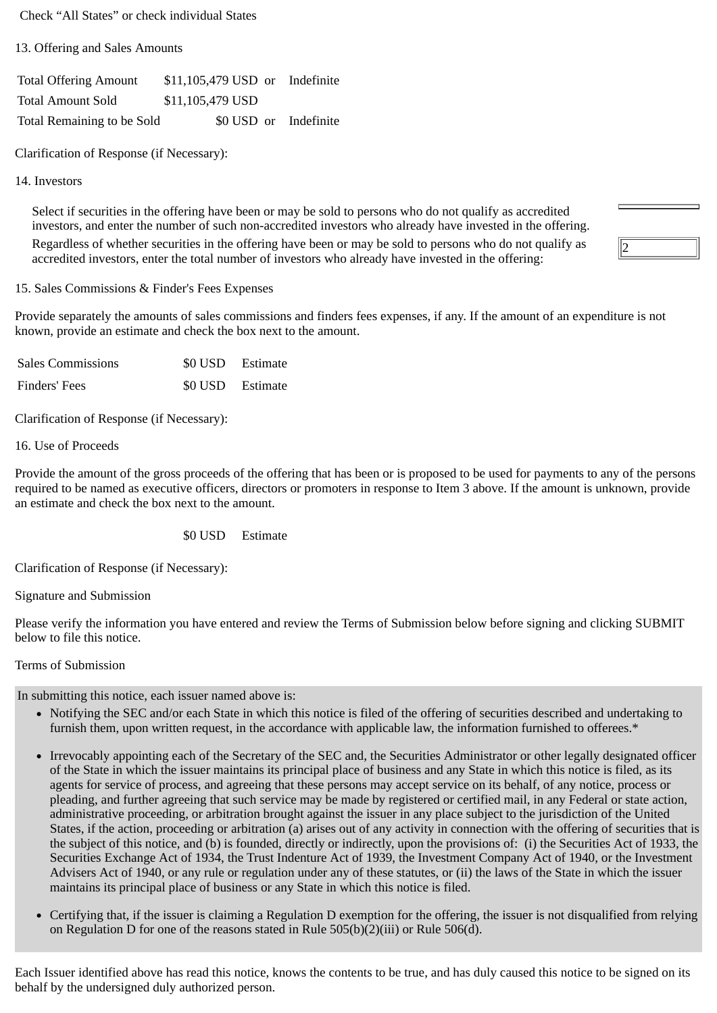Check "All States" or check individual States

13. Offering and Sales Amounts

Total Offering Amount \$11,105,479 USD or Indefinite Total Amount Sold \$11,105,479 USD Total Remaining to be Sold \$0 USD or Indefinite

Clarification of Response (if Necessary):

## 14. Investors

Select if securities in the offering have been or may be sold to persons who do not qualify as accredited investors, and enter the number of such non-accredited investors who already have invested in the offering. Regardless of whether securities in the offering have been or may be sold to persons who do not qualify as accredited investors, enter the total number of investors who already have invested in the offering:

## 15. Sales Commissions & Finder's Fees Expenses

Provide separately the amounts of sales commissions and finders fees expenses, if any. If the amount of an expenditure is not known, provide an estimate and check the box next to the amount.

| <b>Sales Commissions</b> | \$0 USD Estimate |
|--------------------------|------------------|
| Finders' Fees            | \$0 USD Estimate |

Clarification of Response (if Necessary):

16. Use of Proceeds

Provide the amount of the gross proceeds of the offering that has been or is proposed to be used for payments to any of the persons required to be named as executive officers, directors or promoters in response to Item 3 above. If the amount is unknown, provide an estimate and check the box next to the amount.

## \$0 USD Estimate

Clarification of Response (if Necessary):

Signature and Submission

Please verify the information you have entered and review the Terms of Submission below before signing and clicking SUBMIT below to file this notice.

## Terms of Submission

In submitting this notice, each issuer named above is:

- Notifying the SEC and/or each State in which this notice is filed of the offering of securities described and undertaking to furnish them, upon written request, in the accordance with applicable law, the information furnished to offerees.\*
- Irrevocably appointing each of the Secretary of the SEC and, the Securities Administrator or other legally designated officer of the State in which the issuer maintains its principal place of business and any State in which this notice is filed, as its agents for service of process, and agreeing that these persons may accept service on its behalf, of any notice, process or pleading, and further agreeing that such service may be made by registered or certified mail, in any Federal or state action, administrative proceeding, or arbitration brought against the issuer in any place subject to the jurisdiction of the United States, if the action, proceeding or arbitration (a) arises out of any activity in connection with the offering of securities that is the subject of this notice, and (b) is founded, directly or indirectly, upon the provisions of: (i) the Securities Act of 1933, the Securities Exchange Act of 1934, the Trust Indenture Act of 1939, the Investment Company Act of 1940, or the Investment Advisers Act of 1940, or any rule or regulation under any of these statutes, or (ii) the laws of the State in which the issuer maintains its principal place of business or any State in which this notice is filed.
- Certifying that, if the issuer is claiming a Regulation D exemption for the offering, the issuer is not disqualified from relying on Regulation D for one of the reasons stated in Rule 505(b)(2)(iii) or Rule 506(d).

Each Issuer identified above has read this notice, knows the contents to be true, and has duly caused this notice to be signed on its behalf by the undersigned duly authorized person.